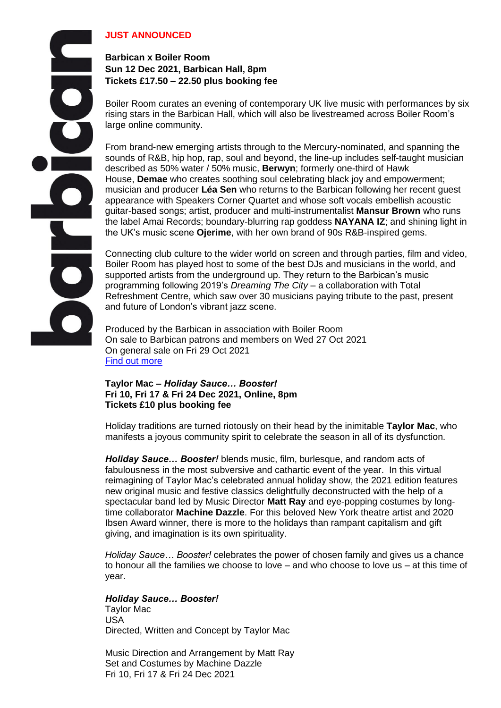## **JUST ANNOUNCED**

## **Barbican x Boiler Room Sun 12 Dec 2021, Barbican Hall, 8pm Tickets £17.50 – 22.50 plus booking fee**

Boiler Room curates an evening of contemporary UK live music with performances by six rising stars in the Barbican Hall, which will also be livestreamed across Boiler Room's large online community.

From brand-new emerging artists through to the Mercury-nominated, and spanning the sounds of R&B, hip hop, rap, soul and beyond, the line-up includes self-taught musician described as 50% water / 50% music, **Berwyn**; formerly one-third of Hawk House, **Demae** who creates soothing soul celebrating black joy and empowerment; musician and producer **Léa Sen** who returns to the Barbican following her recent guest appearance with Speakers Corner Quartet and whose soft vocals embellish acoustic guitar-based songs; artist, producer and multi-instrumentalist **Mansur Brown** who runs the label Amai Records; boundary-blurring rap goddess **NAYANA IZ**; and shining light in the UK's music scene **Ojerime**, with her own brand of 90s R&B-inspired gems.

Connecting club culture to the wider world on screen and through parties, film and video, Boiler Room has played host to some of the best DJs and musicians in the world, and supported artists from the underground up. They return to the Barbican's music programming following 2019's *Dreaming The City –* a collaboration with Total Refreshment Centre, which saw over 30 musicians paying tribute to the past, present and future of London's vibrant jazz scene.

Produced by the Barbican in association with Boiler Room On sale to Barbican patrons and members on Wed 27 Oct 2021 On general sale on Fri 29 Oct 2021 [Find out more](https://www.barbican.org.uk/whats-on/2021/event/barbican-x-boiler-room)

## **Taylor Mac –** *Holiday Sauce… Booster!* **Fri 10, Fri 17 & Fri 24 Dec 2021, Online, 8pm Tickets £10 plus booking fee**

Holiday traditions are turned riotously on their head by the inimitable **Taylor Mac**, who manifests a joyous community spirit to celebrate the season in all of its dysfunction.

*Holiday Sauce… Booster!* blends music, film, burlesque, and random acts of fabulousness in the most subversive and cathartic event of the year. In this virtual reimagining of Taylor Mac's celebrated annual holiday show, the 2021 edition features new original music and festive classics delightfully deconstructed with the help of a spectacular band led by Music Director **Matt Ray** and eye-popping costumes by longtime collaborator **Machine Dazzle**. For this beloved New York theatre artist and 2020 Ibsen Award winner, there is more to the holidays than rampant capitalism and gift giving, and imagination is its own spirituality.

*Holiday Sauce… Booster!* celebrates the power of chosen family and gives us a chance to honour all the families we choose to love – and who choose to love us – at this time of year.

### *Holiday Sauce… Booster!*

Taylor Mac USA Directed, Written and Concept by Taylor Mac

Music Direction and Arrangement by Matt Ray Set and Costumes by Machine Dazzle Fri 10, Fri 17 & Fri 24 Dec 2021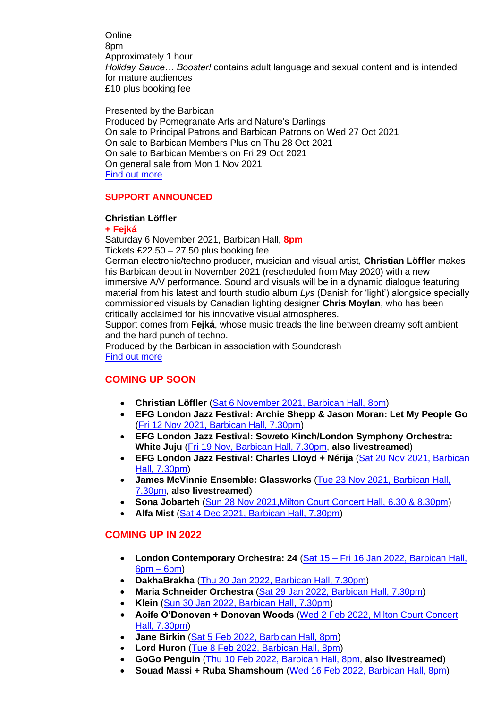**Online** 8pm Approximately 1 hour *Holiday Sauce… Booster!* contains adult language and sexual content and is intended for mature audiences £10 plus booking fee

Presented by the Barbican Produced by Pomegranate Arts and Nature's Darlings On sale to Principal Patrons and Barbican Patrons on Wed 27 Oct 2021 On sale to Barbican Members Plus on Thu 28 Oct 2021 On sale to Barbican Members on Fri 29 Oct 2021 On general sale from Mon 1 Nov 2021 [Find out more](https://www.barbican.org.uk/whats-on/2021/event/taylor-mac-holiday-sauce-booster)

### **SUPPORT ANNOUNCED**

### **Christian Löffler**

#### **+ Fejká**

Saturday 6 November 2021, Barbican Hall, **8pm** Tickets £22.50 – 27.50 plus booking fee

German electronic/techno producer, musician and visual artist, **Christian Löffler** makes his Barbican debut in November 2021 (rescheduled from May 2020) with a new immersive A/V performance. Sound and visuals will be in a dynamic dialogue featuring material from his latest and fourth studio album *Lys* (Danish for 'light') alongside specially commissioned visuals by Canadian lighting designer **Chris Moylan**, who has been critically acclaimed for his innovative visual atmospheres.

Support comes from **Fejká**, whose music treads the line between dreamy soft ambient and the hard punch of techno.

Produced by the Barbican in association with Soundcrash [Find out more](https://www.barbican.org.uk/whats-on/2021/event/christian-loffler)

# **COMING UP SOON**

- **Christian Löffler** [\(Sat 6 November 2021, Barbican Hall, 8pm\)](https://www.barbican.org.uk/whats-on/2021/event/christian-loffler)
- **EFG London Jazz Festival: Archie Shepp & Jason Moran: Let My People Go**  [\(Fri 12 Nov 2021, Barbican Hall, 7.30pm\)](https://www.barbican.org.uk/whats-on/2021/event/archie-shepp-jason-moran-let-my-people-go)
- **EFG London Jazz Festival: Soweto Kinch/London Symphony Orchestra: White Juju** [\(Fri 19 Nov, Barbican Hall, 7.30pm,](https://www.barbican.org.uk/whats-on/2021/event/lsoefg-london-jazz-festival-soweto-kinch) **also livestreamed**)
- **EFG London Jazz Festival: Charles Lloyd + Nérija** [\(Sat 20 Nov 2021, Barbican](https://www.barbican.org.uk/whats-on/2021/event/charles-lloyd)  [Hall, 7.30pm\)](https://www.barbican.org.uk/whats-on/2021/event/charles-lloyd)
- **James McVinnie Ensemble: Glassworks** [\(Tue 23 Nov 2021, Barbican Hall,](https://www.barbican.org.uk/whats-on/2021/event/james-mcvinnie-ensemble-glassworks)  [7.30pm,](https://www.barbican.org.uk/whats-on/2021/event/james-mcvinnie-ensemble-glassworks) **also livestreamed**)
- **Sona Jobarteh** [\(Sun 28 Nov 2021,Milton Court Concert Hall, 6.30 & 8.30pm\)](https://www.barbican.org.uk/whats-on/2021/event/sona-jobarteh)
- **Alfa Mist** [\(Sat 4 Dec 2021, Barbican Hall, 7.30pm\)](https://www.barbican.org.uk/whats-on/2021/event/alfa-mist)

## **COMING UP IN 2022**

- **London Contemporary Orchestra: 24** (Sat 15 [Fri 16 Jan 2022, Barbican Hall,](https://www.barbican.org.uk/whats-on/2022/event/london-contemporary-orchestra-24)   $6$ pm –  $6$ pm $)$
- **DakhaBrakha** [\(Thu 20 Jan 2022, Barbican Hall, 7.30pm\)](https://www.barbican.org.uk/whats-on/2022/event/dakhabrakha)
- **Maria Schneider Orchestra** [\(Sat 29 Jan 2022, Barbican Hall, 7.30pm\)](https://www.barbican.org.uk/whats-on/2022/event/maria-schneider-orchestra)
- **Klein** [\(Sun 30 Jan 2022, Barbican Hall, 7.30pm\)](https://www.barbican.org.uk/whats-on/2022/event/klein)
- **Aoife O'Donovan + Donovan Woods** [\(Wed 2 Feb 2022, Milton Court Concert](https://www.barbican.org.uk/whats-on/2022/event/aoife-odonovan)  [Hall, 7.30pm\)](https://www.barbican.org.uk/whats-on/2022/event/aoife-odonovan)
- **Jane Birkin** [\(Sat 5 Feb 2022, Barbican Hall, 8pm\)](https://www.barbican.org.uk/whats-on/2022/event/jane-birkin-oh-pardon-tu-dormais)
- **Lord Huron** [\(Tue 8 Feb 2022, Barbican Hall, 8pm\)](https://www.barbican.org.uk/whats-on/2022/event/lord-huron)
- **GoGo Penguin** [\(Thu 10 Feb 2022, Barbican Hall, 8pm,](https://www.barbican.org.uk/whats-on/2022/event/gogo-penguin-live-from-the-barbican) **also livestreamed**)
- **Souad Massi + Ruba Shamshoum** [\(Wed 16 Feb 2022, Barbican Hall, 8pm\)](https://www.barbican.org.uk/whats-on/2022/event/souad-massi-ruba-shamshoum)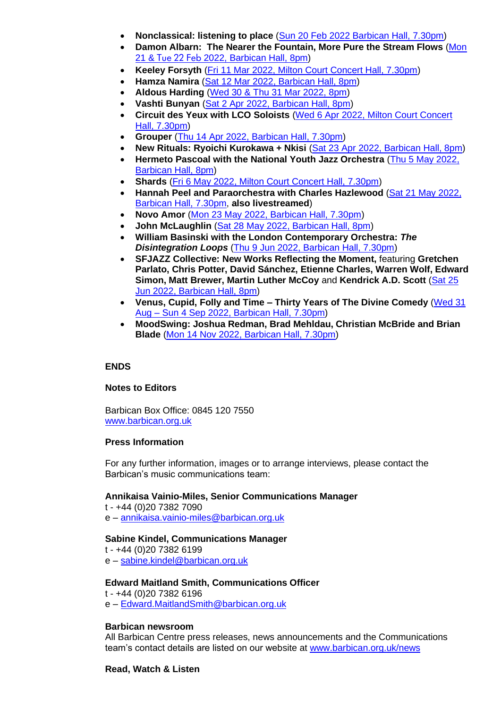- **Nonclassical: listening to place** [\(Sun 20 Feb 2022 Barbican Hall, 7.30pm\)](https://www.barbican.org.uk/whats-on/2022/event/nonclassical-listening-to-place)
- **Damon Albarn: The Nearer the Fountain, More Pure the Stream Flows** [\(Mon](https://www.barbican.org.uk/whats-on/2022/event/damon-albarn-the-nearer-the-fountain)  21 & Tue 22 Feb [2022, Barbican Hall, 8pm\)](https://www.barbican.org.uk/whats-on/2022/event/damon-albarn-the-nearer-the-fountain)
- **Keeley Forsyth** [\(Fri 11 Mar 2022, Milton Court Concert Hall, 7.30pm\)](https://www.barbican.org.uk/whats-on/2022/event/keeley-forsyth)
- **Hamza Namira** [\(Sat 12 Mar 2022, Barbican Hall, 8pm\)](https://www.barbican.org.uk/whats-on/2022/event/hamza-namira)
- **Aldous Harding** [\(Wed 30 & Thu 31 Mar 2022, 8pm\)](https://www.barbican.org.uk/whats-on/2022/event/aldous-harding)
- **Vashti Bunyan** [\(Sat 2 Apr 2022, Barbican Hall, 8pm\)](https://www.barbican.org.uk/whats-on/2022/event/vashti-bunyan)
- **Circuit des Yeux with LCO Soloists** [\(Wed 6 Apr 2022, Milton Court Concert](https://www.barbican.org.uk/whats-on/2022/event/circuit-des-yeux)  [Hall, 7.30pm\)](https://www.barbican.org.uk/whats-on/2022/event/circuit-des-yeux)
- **Grouper** [\(Thu 14 Apr 2022, Barbican Hall, 7.30pm\)](https://www.barbican.org.uk/whats-on/2022/event/grouper)
- **New Rituals: Ryoichi Kurokawa + Nkisi** [\(Sat 23 Apr 2022, Barbican Hall, 8pm\)](https://www.barbican.org.uk/whats-on/2022/event/new-rituals-ryoichi-kurokawa-nkisi)
- **Hermeto Pascoal with the National Youth Jazz Orchestra** [\(Thu 5 May 2022,](https://www.barbican.org.uk/whats-on/2022/event/hermeto-pascoal-with-the-national-youth-jazz-orchestra)  [Barbican Hall, 8pm\)](https://www.barbican.org.uk/whats-on/2022/event/hermeto-pascoal-with-the-national-youth-jazz-orchestra)
- **Shards** [\(Fri 6 May 2022, Milton Court Concert Hall, 7.30pm\)](https://www.barbican.org.uk/whats-on/2022/event/shards)
- **Hannah Peel and Paraorchestra with Charles Hazlewood** [\(Sat 21 May 2022,](https://www.barbican.org.uk/whats-on/2022/event/hannah-peel-paraorchestra-with-charles-hazlewood)  [Barbican Hall, 7.30pm,](https://www.barbican.org.uk/whats-on/2022/event/hannah-peel-paraorchestra-with-charles-hazlewood) **also livestreamed**)
- **Novo Amor** [\(Mon 23 May 2022, Barbican Hall, 7.30pm\)](https://www.barbican.org.uk/whats-on/2022/event/novo-amor)
- **John McLaughlin** [\(Sat 28 May 2022, Barbican Hall, 8pm\)](https://www.barbican.org.uk/whats-on/2022/event/john-mclaughlin)
- **William Basinski with the London Contemporary Orchestra:** *The Disintegration Loops* [\(Thu 9 Jun 2022, Barbican Hall, 7.30pm\)](https://www.barbican.org.uk/whats-on/2022/event/william-basinski-with-the-lco-the-disintegration-loops)
- **SFJAZZ Collective: New Works Reflecting the Moment,** featuring **Gretchen Parlato, Chris Potter, David Sánchez, Etienne Charles, Warren Wolf, Edward Simon, Matt Brewer, Martin Luther McCoy** and **Kendrick A.D. Scott** [\(Sat 25](https://www.barbican.org.uk/whats-on/2022/event/sfjazz-collective-new-works-reflecting-the-moment)  [Jun 2022, Barbican Hall, 8pm\)](https://www.barbican.org.uk/whats-on/2022/event/sfjazz-collective-new-works-reflecting-the-moment)
- **Venus, Cupid, Folly and Time – Thirty Years of The Divine Comedy** [\(Wed 31](https://www.barbican.org.uk/whats-on/2022/series/venus-cupid-folly-time-30-years-of-the-divine-comedy)  Aug – [Sun 4 Sep 2022, Barbican Hall, 7.30pm\)](https://www.barbican.org.uk/whats-on/2022/series/venus-cupid-folly-time-30-years-of-the-divine-comedy)
- **MoodSwing: Joshua Redman, Brad Mehldau, Christian McBride and Brian Blade** [\(Mon 14 Nov 2022, Barbican Hall, 7.30pm\)](https://www.barbican.org.uk/whats-on/2022/event/moodswing)

### **ENDS**

### **Notes to Editors**

Barbican Box Office: 0845 120 7550 [www.barbican.org.uk](http://tracking.barbican.org.uk/tracking/click?d=IEK2eAAWLBWf6oUPKZVvJ6YS52V5IkTkPf6UqitHQ-JXXbhPt3cRj3P4mmlnaInnOYYUqTd_EYLkEcxlibhKYMkOPJfiI7YjIGEu3wA30BEjG4Om_iDsy74doguYcpbAjQ2)

### **Press Information**

For any further information, images or to arrange interviews, please contact the Barbican's music communications team:

### **Annikaisa Vainio-Miles, Senior Communications Manager**

t - +44 (0)20 7382 7090 e – [annikaisa.vainio-miles@barbican.org.uk](mailto:annikaisa.vainio-miles@barbican.org.uk)

### **Sabine Kindel, Communications Manager**

t - +44 (0)20 7382 6199 e – [sabine.kindel@barbican.org.uk](mailto:sabine.kindel@barbican.org.uk)

#### **Edward Maitland Smith, Communications Officer**

t - +44 (0)20 7382 6196

e – [Edward.MaitlandSmith@barbican.org.uk](mailto:Edward.MaitlandSmith@barbican.org.uk)

#### **Barbican newsroom**

All Barbican Centre press releases, news announcements and the Communications team's contact details are listed on our website at www.barbican.org.uk/news

### **Read, Watch & Listen**